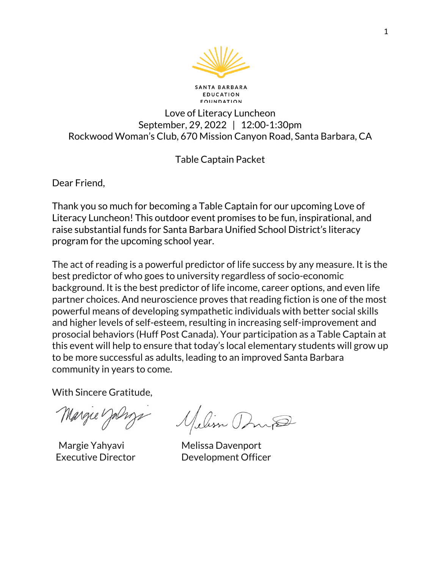

**SANTA BARBARA EDUCATION EQUNDATION** 

# Love of Literacy Luncheon September, 29, 2022 | 12:00-1:30pm Rockwood Woman's Club, 670 Mission Canyon Road, Santa Barbara, CA

# Table Captain Packet

Dear Friend,

Thank you so much for becoming a Table Captain for our upcoming Love of Literacy Luncheon! This outdoor event promises to be fun, inspirational, and raise substantial funds for Santa Barbara Unified School District's literacy program for the upcoming school year.

The act of reading is a powerful predictor of life success by any measure. It is the best predictor of who goes to university regardless of socio-economic background. It is the best predictor of life income, career options, and even life partner choices. And neuroscience proves that reading fiction is one of the most powerful means of developing sympathetic individuals with better social skills and higher levels of self-esteem, resulting in increasing self-improvement and prosocial behaviors (Huff Post Canada). Your participation as a Table Captain at this event will help to ensure that today's local elementary students will grow up to be more successful as adults, leading to an improved Santa Barbara community in years to come.

With Sincere Gratitude,

Margue Jalmys

Margue Yalizz Melism Dong<br>Margie Yahyavi Melissa Davenport

Executive Director **Development Officer**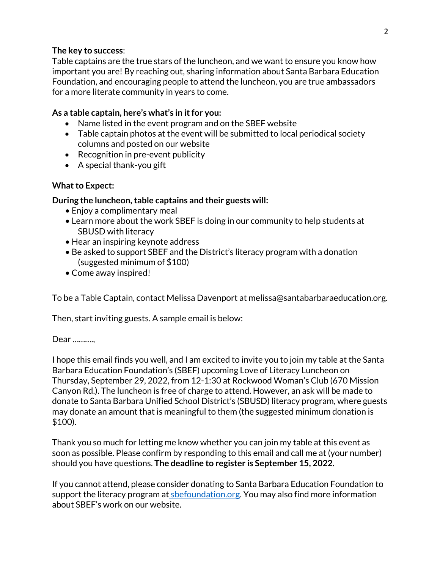## **The key to success**:

Table captains are the true stars of the luncheon, and we want to ensure you know how important you are! By reaching out, sharing information about Santa Barbara Education Foundation, and encouraging people to attend the luncheon, you are true ambassadors for a more literate community in years to come.

### **As a table captain, here's what's in it for you:**

- Name listed in the event program and on the SBEF website
- Table captain photos at the event will be submitted to local periodical society columns and posted on our website
- Recognition in pre-event publicity
- A special thank-you gift

## **What to Expect:**

#### **During the luncheon, table captains and their guests will:**

- Enjoy a complimentary meal
- Learn more about the work SBEF is doing in our community to help students at SBUSD with literacy
- Hear an inspiring keynote address
- Be asked to support SBEF and the District's literacy program with a donation (suggested minimum of \$100)
- Come away inspired!

To be a Table Captain, contact Melissa Davenport at melissa@santabarbaraeducation.org.

Then, start inviting guests. A sample email is below:

#### Dear …………

I hope this email finds you well, and I am excited to invite you to join my table at the Santa Barbara Education Foundation's (SBEF) upcoming Love of Literacy Luncheon on Thursday, September 29, 2022, from 12-1:30 at Rockwood Woman's Club (670 Mission Canyon Rd.). The luncheon is free of charge to attend. However, an ask will be made to donate to Santa Barbara Unified School District's (SBUSD) literacy program, where guests may donate an amount that is meaningful to them (the suggested minimum donation is \$100).

Thank you so much for letting me know whether you can join my table at this event as soon as possible. Please confirm by responding to this email and call me at (your number) should you have questions. **The deadline to register is September 15, 2022.**

If you cannot attend, please consider donating to Santa Barbara Education Foundation to support the literacy program at sbefoundation.org. You may also find more information about SBEF's work on our website.